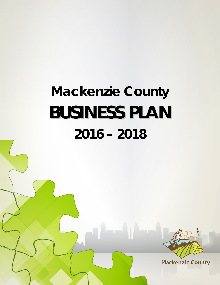# **Mackenzie County BUSINESS PLAN 2016 – 2018**



**Mackenzie County**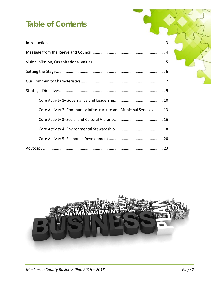# **Table of Contents**

| Core Activity 2–Community Infrastructure and Municipal Services  13 |  |
|---------------------------------------------------------------------|--|
|                                                                     |  |
|                                                                     |  |
|                                                                     |  |
|                                                                     |  |

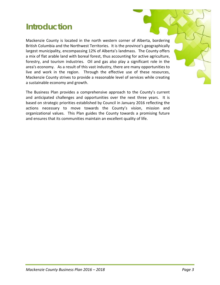# **Introduction**

Mackenzie County is located in the north western corner of Alberta, bordering British Columbia and the Northwest Territories. It is the province's geographically largest municipality, encompassing 12% of Alberta's landmass. The County offers a mix of flat arable land with boreal forest, thus accounting for active agriculture, forestry, and tourism industries. Oil and gas also play a significant role in the area's economy. As a result of this vast industry, there are many opportunities to live and work in the region. Through the effective use of these resources, Mackenzie County strives to provide a reasonable level of services while creating a sustainable economy and growth.

The Business Plan provides a comprehensive approach to the County's current and anticipated challenges and opportunities over the next three years. It is based on strategic priorities established by Council in January 2016 reflecting the actions necessary to move towards the County's vision, mission and organizational values. This Plan guides the County towards a promising future and ensures that its communities maintain an excellent quality of life.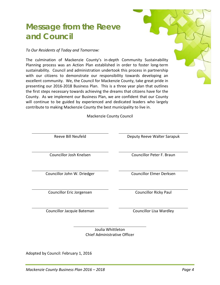# **Message from the Reeve and Council**

#### *To Our Residents of Today and Tomorrow:*

The culmination of Mackenzie County's in-depth Community Sustainability Planning process was an Action Plan established in order to foster long-term sustainability. Council and administration undertook this process in partnership with our citizens to demonstrate our responsibility towards developing an excellent community. We, the Council for Mackenzie County, take great pride in presenting our 2016-2018 Business Plan. This is a three year plan that outlines the first steps necessary towards achieving the dreams that citizens have for the County. As we implement our Business Plan, we are confident that our County will continue to be guided by experienced and dedicated leaders who largely contribute to making Mackenzie County the best municipality to live in.

Mackenzie County Council

Reeve Bill Neufeld **Deputy Reeve Walter Sarapuk** Councillor Josh Knelsen Councillor Peter F. Braun Councillor John W. Driedger Councillor Elmer Derksen Councillor Eric Jorgensen Councillor Ricky Paul Councillor Jacquie Bateman Councillor Lisa Wardley

> Joulia Whittleton Chief Administrative Officer

Adopted by Council: February 1, 2016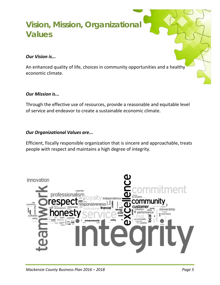# **Vision, Mission, Organizational Values**

#### *Our Vision is...*

An enhanced quality of life, choices in community opportunities and a healthy economic climate.

#### *Our Mission is...*

Through the effective use of resources, provide a reasonable and equitable level of service and endeavor to create a sustainable economic climate.

#### *Our Organizational Values are...*

Efficient, fiscally responsible organization that is sincere and approachable, treats people with respect and maintains a high degree of integrity.

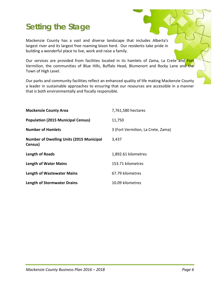# **Setting the Stage**

Mackenzie County has a vast and diverse landscape that includes Alberta's largest river and its largest free roaming bison herd. Our residents take pride in building a wonderful place to live, work and raise a family.

Our services are provided from facilities located in its hamlets of Zama, La Crete and Fort Vermilion, the communities of Blue Hills, Buffalo Head, Blumenort and Rocky Lane and the Town of High Level.

Our parks and community facilities reflect an enhanced quality of life making Mackenzie County a leader in sustainable approaches to ensuring that our resources are accessible in a manner that is both environmentally and fiscally responsible.

| <b>Mackenzie County Area</b>                               | 7,761,580 hectares                 |
|------------------------------------------------------------|------------------------------------|
| <b>Population (2015 Municipal Census)</b>                  | 11,750                             |
| <b>Number of Hamlets</b>                                   | 3 (Fort Vermilion, La Crete, Zama) |
| <b>Number of Dwelling Units (2015 Municipal</b><br>Census) | 3,437                              |
| Length of Roads                                            | 1,892.61 kilometres                |
| <b>Length of Water Mains</b>                               | 153.71 kilometres                  |
| <b>Length of Wastewater Mains</b>                          | 67.79 kilometres                   |
| <b>Length of Stormwater Drains</b>                         | 10.09 kilometres                   |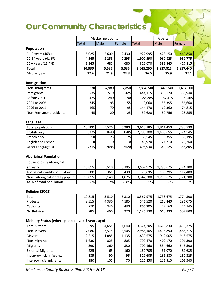# **Our Community Characteristics**

|                                                  |        | Mackenzie County |        |              | Alberta   |           |
|--------------------------------------------------|--------|------------------|--------|--------------|-----------|-----------|
|                                                  | Total  | Male             | Female | <b>Total</b> | Male      | Female    |
| Population                                       |        |                  |        |              |           |           |
| 0-19 years (46%)                                 | 5,025  | 2,600            | 2,430  | 922,995      | 473,150   | 449,850   |
| 20-54 years (41.6%)                              | 4,545  | 2,255            | 2,295  | 1,900,590    | 960,825   | 939,775   |
| 55 + years (12.4%)                               | 1,345  | 685              | 680    | 821,670      | 393,845   | 427,815   |
| <b>Total</b>                                     | 10,930 | 5,535            | 5,535  | 3,645,260    | 1,827,815 | 1,817,440 |
| Median years                                     | 22.6   | 21.9             | 23.3   | 36.5         | 35.9      | 37.1      |
|                                                  |        |                  |        |              |           |           |
| Immigration                                      |        |                  |        |              |           |           |
| Non-immigrants                                   | 9,830  | 4,980            | 4,850  | 2,864,240    | 1,449,740 | 1,414,500 |
| immigrants                                       | 935    | 510              | 425    | 644,115      | 313,170   | 330,940   |
| Before 2001                                      | 425    | 240              | 190    | 386,885      | 187,415   | 199,465   |
| 2001 to 2006                                     | 345    | 195              | 155    | 113,060      | 56,395    | 56,660    |
| 2006 to 2011                                     | 165    | 70               | 95     | 144,170      | 69,360    | 74,815    |
| Non-Permanent residents                          | 45     | 20               | 25     | 59,620       | 30,756    | 28,855    |
|                                                  |        |                  |        |              |           |           |
| Language                                         |        |                  |        |              |           |           |
| <b>Total population</b>                          | 10,900 | 5,520            | 5,380  | 3,610,185    | 1,811,450 | 1,798,730 |
| English only                                     | 3225   | 1640             | 1585   | 2,780,200    | 1,405,655 | 1,374,545 |
| French only                                      | 50     | 25               | 25     | 68,545       | 35,355    | 33,195    |
| English and French                               | 0      | 0                | 0      | 49,970       | 24,210    | 25,760    |
| Other Language(s)                                | 7315   | 3695             | 3620   | 698,930      | 340,125   | 358,805   |
| <b>Aboriginal Population</b>                     |        |                  |        |              |           |           |
| households by Aboriginal                         |        |                  |        |              |           |           |
| ancestry                                         | 10,815 | 5,510            | 5,305  | 3,567,975    | 1,793,675 | 1,774,300 |
| Aboriginal identity population                   | 800    | 365              | 430    | 220,695      | 108,295   | 112,400   |
| Non - Aboriginal identity populati               | 10,015 | 5,140            | 4,875  | 3,347,280    | 1,793,675 | 1,774,300 |
| As % of total population                         | 8%     | 7%               | 8.8%   | 6.5%         | 6%        | 6.3%      |
|                                                  |        |                  |        |              |           |           |
| Religion (2001)                                  |        |                  |        |              |           |           |
| Total                                            | 10,815 | 5,510            | 5,310  | 3,567,975    | 1,793,675 | 1,774,300 |
| Protestant                                       | 8,515  | 4,330            | 4,185  | 541,520      | 260,440   | 281,075   |
| Catholics                                        | 770    | 340              | 430    | 866,305      | 422,160   | 44,145    |
| No Religion                                      | 785    | 460              | 320    | 1,126,130    | 618,330   | 507,800   |
|                                                  |        |                  |        |              |           |           |
| Mobility Status (where people lived 5 years ago) |        |                  |        |              |           |           |
| Total 5 years +                                  | 9,295  | 4,655            | 4,640  | 3,324,205    | 1,668,830 | 1,655,375 |
| Non-Movers                                       | 7,080  | 3,575            | 3,505  | 2,985,105    | 1,496,890 | 1,488,215 |
| Movers                                           | 2,215  | 1,085            | 1,135  | 1,830,575    | 912,005   | 918,575   |
| Non-migrants                                     | 1,630  | 825              | 805    | 793,470      | 402,170   | 391,300   |
| <b>Migrants</b>                                  | 590    | 260              | 330    | 700,160      | 354,660   | 345,500   |
| <b>External Migrants</b>                         | 225    | 65               | 160    | 162,705      | 81,070    | 81,635    |
| Intraprovincial migrants                         | 185    | 90               | 95     | 321,605      | 161,280   | 160,325   |
| Interpovincial migrants                          | 180    | 105              | 70     | 215,850      | 112,310   | 103,540   |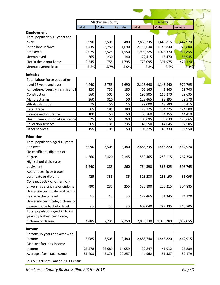|                                      |              | Mackenzie County |        |              | Alberta   |           |
|--------------------------------------|--------------|------------------|--------|--------------|-----------|-----------|
|                                      | <b>Total</b> | Male             | Female | <b>Total</b> | Male      | Female    |
| <b>Employment</b>                    |              |                  |        |              |           |           |
| Total population 15 years and        |              |                  |        |              |           |           |
| over                                 | 6,990        | 3,505            | 480    | 2,888,735    | 1,445,815 | 1,442,920 |
| In the labour force                  | 4,435        | 2,750            | 1,690  | 2,115,640    | 1,143,840 | 971,800   |
| Employed                             | 4,075        | 2,525            | 1,550  | 1,993,225    | 1,078,370 | 914,855   |
| Unemployed                           | 365          | 230              | 140    | 122,415      | 65,470    | 56,945    |
| Not in the labour force              | 2,545        | 755              | 1,795  | 773,095      | 301,975   | 471,120   |
| <b>Unemployment Rate</b>             | 5.8%         | 5.7%             | 5.9%   | 8.2%         | 8.4%      | 8.3%      |
| Industry                             |              |                  |        |              |           |           |
| Total labour force population        |              |                  |        |              |           |           |
| aged 15 years and over               | 4,440        | 2,755            | 1,690  | 2,115,640    | 1,143,840 | 971,795   |
| Agriculture, forestry, fishing and h | 920          | 735              | 185    | 61,165       | 41,465    | 19,700    |
| Construction                         | 560          | 505              | 55     | 195,905      | 166,270   | 29,635    |
| Manufacturing                        | 360          | 310              | 50     | 123,465      | 93,895    | 29,570    |
| Wholesale trade                      | 75           | 50               | 15     | 89,000       | 63,590    | 25,415    |
| Retail trade                         | 565          | 185              | 380    | 229,225      | 104,725   | 124,500   |
| Finance and insurance                | 100          | 50               | 50     | 68,760       | 24,355    | 44,410    |
| Health care and social assistance    | 325          | 65               | 260    | 206,695      | 33,030    | 173,665   |
| <b>Education services</b>            | 365          | 135              | 235    | 141,550      | 44,045    | 97,505    |
| Other services                       | 155          | 105              | 50     | 101,275      | 49,330    | 51,950    |
|                                      |              |                  |        |              |           |           |
| <b>Education</b>                     |              |                  |        |              |           |           |
| Total population aged 15 years       |              |                  |        |              |           |           |
| and over                             | 6,990        | 3,505            | 3,480  | 2,888,735    | 1,445,820 | 1,442,920 |
| No certificate, diploma or           |              |                  |        |              |           |           |
| degree                               | 4,560        | 2,420            | 2,145  | 550,465      | 283,115   | 267,350   |
| High school diploma or               |              |                  |        |              |           |           |
| equivalent                           | 1,240        | 385              | 860    | 764,390      | 365,625   | 398,765   |
| Apprenticeship or trades             |              |                  |        |              |           |           |
| certificate or diploma               | 425          | 335              | 85     | 318,280      | 233,190   | 85,095    |
| College, CEGEP or other non-         |              |                  |        |              |           |           |
| university certificate or diploma    | 490          | 235              | 255    | 530,100      | 225,215   | 304,885   |
| University certificate or diploma    |              |                  |        |              |           |           |
| below bachelor level                 | 40           | 10               | 30     | 122,465      | 51,345    | 71,120    |
| University certificate, diploma or   |              |                  |        |              |           |           |
| degree above bachelor level          | 80           | 50               | 30     | 603,040      | 287,335   | 315,705   |
| Total population aged 25 to 64       |              |                  |        |              |           |           |
| years by highest certificate,        |              |                  |        |              |           |           |
| diploma or degree                    | 4,485        | 2,235            | 2,250  | 2,035,330    | 1,023,280 | 1,012,055 |
| Income                               |              |                  |        |              |           |           |
| Persons 15 years and over with       |              |                  |        |              |           |           |
| income                               | 6,985        | 3,505            | 3,480  | 2,888,740    | 1,445,820 | 1,442,915 |
| Median after -tax income             |              |                  |        |              |           |           |
| income                               | 25,578       | 36,689           | 14,959 | 32,847       | 41,012    | 25,889    |
| Average after - tax income           | 31,403       | 42,376           | 20,257 | 41,962       | 51,587    | 32,179    |

Source: Statistics Canada 2011 Census

 $\sum$ 

 $\tilde{a}$ 

1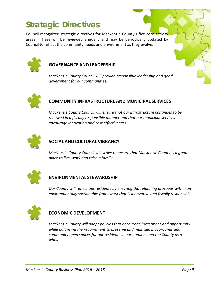# **Strategic Directives**

Council recognized strategic directives for Mackenzie County's five core activity areas. These will be reviewed annually and may be periodically updated by Council to reflect the community needs and environment as they evolve.



#### **GOVERNANCE AND LEADERSHIP**

*Mackenzie County Council will provide responsible leadership and good government for our communities.*



#### **COMMUNITY INFRASTRUCTURE AND MUNICIPAL SERVICES**

*Mackenzie County Council will ensure that our infrastructure continues to be renewed in a fiscally responsible manner and that our municipal services encourage innovation and cost effectiveness.*



#### **SOCIAL AND CULTURAL VIBRANCY**

*Mackenzie County Council will strive to ensure that Mackenzie County is a great place to live, work and raise a family.*



#### **ENVIRONMENTAL STEWARDSHIP**

*Our County will reflect our residents by ensuring that planning proceeds within an environmentally sustainable framework that is innovative and fiscally responsible.*



#### **ECONOMIC DEVELOPMENT**

*Mackenzie County will adopt policies that encourage investment and opportunity while balancing the requirement to preserve and maintain playgrounds and community open spaces for our residents in our hamlets and the County as a whole.*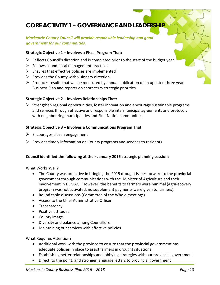# **CORE ACTIVITY 1 – GOVERNANCE AND LEADERSHIP**

#### *Mackenzie County Council will provide responsible leadership and good government for our communities.*

#### **Strategic Objective 1 – Involves a Fiscal Program That:**

- $\triangleright$  Reflects Council's direction and is completed prior to the start of the budget year
- $\triangleright$  Follows sound fiscal management practices
- $\triangleright$  Ensures that effective policies are implemented
- $\triangleright$  Provides the County with visionary direction
- $\triangleright$  Produces results that will be measured by annual publication of an updated three year Business Plan and reports on short-term strategic priorities

#### **Strategic Objective 2 – Involves Relationships That:**

 $\triangleright$  Strengthen regional opportunities, foster innovation and encourage sustainable programs and services through effective and responsible intermunicipal agreements and protocols with neighbouring municipalities and First Nation communities

#### **Strategic Objective 3 – Involves a Communications Program That:**

- $\triangleright$  Encourages citizen engagement
- $\triangleright$  Provides timely information on County programs and services to residents

#### **Council identified the following at their January 2016 strategic planning session:**

What Works Well?

- The County was proactive in bringing the 2015 drought issues forward to the provincial government through communications with the Minister of Agriculture and their involvement in DEMAG. However, the benefits to farmers were minimal (AgriRecovery program was not activated, no supplement payments were given to farmers).
- Round table discussions (Committee of the Whole meetings)
- Access to the Chief Administrative Officer
- Transparency
- Positive attitudes
- County image
- Diversity and balance among Councillors
- Maintaining our services with effective policies

What Requires Attention?

- Additional work with the province to ensure that the provincial government has adequate policies in place to assist farmers in drought situations
- Establishing better relationships and lobbying strategies with our provincial government
- Direct, to the point, and stronger language letters to provincial government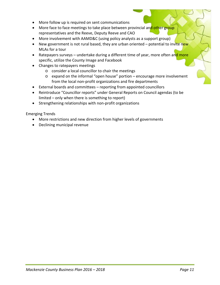- More follow up is required on sent communications
- More face to face meetings to take place between provincial and other group representatives and the Reeve, Deputy Reeve and CAO
- More involvement with AAMD&C (using policy analysts as a support group)
- New government is not rural based, they are urban oriented  $-$  potential to invite new MLAs for a tour
- Ratepayers surveys undertake during a different time of year, more often and more specific, utilize the County Image and Facebook
- Changes to ratepayers meetings
	- o consider a local councillor to chair the meetings
	- o expand on the informal "open house" portion encourage more involvement from the local non-profit organizations and fire departments
- External boards and committees reporting from appointed councillors
- Reintroduce "Councillor reports" under General Reports on Council agendas (to be limited – only when there is something to report)
- Strengthening relationships with non-profit organizations

Emerging Trends

- More restrictions and new direction from higher levels of governments
- Declining municipal revenue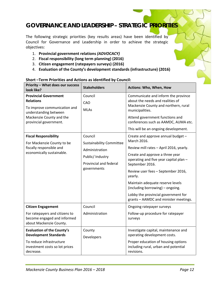### **GOVERNANCE AND LEADERSHIP – STRATEGIC PRIORITIES**

The following strategic priorities (key results areas) have been identified by Council for Governance and Leadership in order to achieve the strategic objectives:

- 1. **Provincial government relations** *(ADVOCACY)*
- 2. **Fiscal responsibility (long term planning) (2016)**
- 3. **Citizen engagement (ratepayers surveys) (2016)**
- 4. **Evaluation of the County's development standards (infrastructure) (2016)**

| <b>Priority - What does our success</b><br>look like?                                                                                                           | <b>Stakeholders</b>                                                                                                       | Actions: Who, When, How                                                                                                                                                                                                                                                                                                                                                                               |
|-----------------------------------------------------------------------------------------------------------------------------------------------------------------|---------------------------------------------------------------------------------------------------------------------------|-------------------------------------------------------------------------------------------------------------------------------------------------------------------------------------------------------------------------------------------------------------------------------------------------------------------------------------------------------------------------------------------------------|
| <b>Provincial Government</b><br><b>Relations</b><br>To improve communication and<br>understanding between<br>Mackenzie County and the<br>provincial government. | Council<br>CAO<br><b>MLAs</b>                                                                                             | Communicate and inform the province<br>about the needs and realities of<br>Mackenzie County and northern, rural<br>municipalities.<br>Attend government functions and<br>conferences such as AAMDC, AUMA etc.<br>This will be an ongoing development.                                                                                                                                                 |
| <b>Fiscal Responsibility</b><br>For Mackenzie County to be<br>fiscally responsible and<br>economically sustainable.                                             | Council<br><b>Sustainability Committee</b><br>Administration<br>Public/ Industry<br>Provincial and federal<br>governments | Create and approve annual budget -<br>March 2016.<br>Review mill rates - April 2016, yearly.<br>Create and approve a three year<br>operating and five year capital plan -<br>September 2016.<br>Review user fees - September 2016,<br>yearly.<br>Maintain adequate reserve levels<br>(including borrowing) - ongoing.<br>Lobby the provincial government for<br>grants - AAMDC and minister meetings. |
| <b>Citizen Engagement</b><br>For ratepayers and citizens to<br>become engaged and informed<br>about Mackenzie County.                                           | Council<br>Administration                                                                                                 | Ongoing ratepayer surveys<br>Follow-up procedure for ratepayer<br>surveys                                                                                                                                                                                                                                                                                                                             |
| <b>Evaluation of the County's</b><br><b>Development Standards</b><br>To reduce infrastructure<br>investment costs so lot prices<br>decrease.                    | County<br>Developers                                                                                                      | Investigate capital, maintenance and<br>operating development costs.<br>Proper education of housing options<br>including rural, urban and potential<br>revisions.                                                                                                                                                                                                                                     |

#### **Short –Term Priorities and Actions as identified by Council:**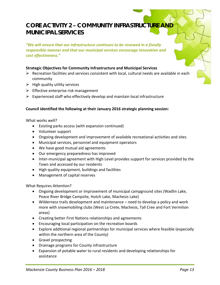### **CORE ACTIVITY 2 – COMMUNITY INFRASTRUCTURE AND MUNICIPAL SERVICES**

*"We will ensure that our infrastructure continues to be renewed in a fiscally responsible manner and that our municipal services encourage innovation and cost effectiveness."*

#### **Strategic Objectives for Community Infrastructure and Municipal Services**

- $\triangleright$  Recreation facilities and services consistent with local, cultural needs are available in each community
- $\triangleright$  High quality utility services
- $\triangleright$  Effective enterprise risk management
- $\triangleright$  Experienced staff who effectively develop and maintain local infrastructure

#### **Council identified the following at their January 2016 strategic planning session:**

What works well?

- Existing parks access (with expansion continued)
- Volunteer support
- Ongoing development and improvement of available recreational activities and sites
- Municipal services, personnel and equipment operators
- We have good mutual aid agreements
- Our emergency preparedness has improved
- Inter-municipal agreement with High Level provides support for services provided by the Town and accessed by our residents
- High quality equipment, buildings and facilities
- Management of capital reserves

What Requires Attention?

- Ongoing development or improvement of municipal campground sites (Wadlin Lake, Peace River Bridge Campsite, Hutch Lake, Machesis Lake)
- Wilderness trails development and maintenance need to develop a policy and work more with snowmobiling clubs (West La Crete, Machesis, Tall Cree and Fort Vermilion areas)
- Creating better First Nations relationships and agreements
- Encouraging local participation on the recreation boards
- Explore additional regional partnerships for municipal services where feasible (especially within the northern area of the County)
- Gravel prospecting
- Drainage programs for County infrastructure
- Expansion of potable water to rural residents and developing relationships for assistance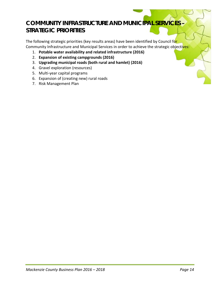### **COMMUNITY INFRASTRUCTURE AND MUNICIPAL SERVICES – STRATEGIC PRIORITIES**

The following strategic priorities (key results areas) have been identified by Council for Community Infrastructure and Municipal Services in order to achieve the strategic objectives:

- 1. **Potable water availability and related infrastructure (2016)**
- 2. **Expansion of existing campgrounds (2016)**
- 3. **Upgrading municipal roads (both rural and hamlet) (2016)**
- 4. Gravel exploration (resources)
- 5. Multi-year capital programs
- 6. Expansion of (creating new) rural roads
- 7. Risk Management Plan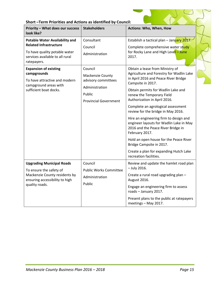| Short-Term Priorities and Actions as identified by Council: |  |
|-------------------------------------------------------------|--|
|-------------------------------------------------------------|--|

| <b>Priority - What does our success</b><br>look like?                                                                           | <b>Stakeholders</b>                                                                                            | Actions: Who, When, How                                                                                                                                                                                                                                                                                                                                                                                                                                                                                                                                                                                        |  |
|---------------------------------------------------------------------------------------------------------------------------------|----------------------------------------------------------------------------------------------------------------|----------------------------------------------------------------------------------------------------------------------------------------------------------------------------------------------------------------------------------------------------------------------------------------------------------------------------------------------------------------------------------------------------------------------------------------------------------------------------------------------------------------------------------------------------------------------------------------------------------------|--|
| <b>Potable Water Availability and</b>                                                                                           | Consultant                                                                                                     | Establish a tactical plan - January 2017.                                                                                                                                                                                                                                                                                                                                                                                                                                                                                                                                                                      |  |
| <b>Related Infrastructure</b><br>To have quality potable water<br>services available to all rural<br>ratepayers.                | Council<br>Administration                                                                                      | Complete comprehensive water study<br>for Rocky Lane and High Level - June<br>2017.                                                                                                                                                                                                                                                                                                                                                                                                                                                                                                                            |  |
| <b>Expansion of existing</b><br>campgrounds<br>To have attractive and modern<br>campground areas with<br>sufficient boat docks. | Council<br>Mackenzie County<br>advisory committees<br>Administration<br>Public<br><b>Provincial Government</b> | Obtain a lease from Ministry of<br>Agriculture and Forestry for Wadlin Lake<br>in April 2016 and Peace River Bridge<br>Campsite in 2017.<br>Obtain permits for Wadlin Lake and<br>renew the Temporary Field<br>Authorization in April 2016.<br>Complete an agrological assessment<br>review for the bridge in May 2016.<br>Hire an engineering firm to design and<br>engineer layouts for Wadlin Lake in May<br>2016 and the Peace River Bridge in<br>February 2017.<br>Hold an open house for the Peace River<br>Bridge Campsite in 2017.<br>Create a plan for expanding Hutch Lake<br>recreation facilities. |  |
| <b>Upgrading Municipal Roads</b>                                                                                                | Council                                                                                                        | Review and update the hamlet road plan                                                                                                                                                                                                                                                                                                                                                                                                                                                                                                                                                                         |  |
| To ensure the safety of<br>Mackenzie County residents by<br>ensuring accessibility to high<br>quality roads.                    | <b>Public Works Committee</b><br>Administration<br>Public                                                      | $-$ July 2016.<br>Create a rural road upgrading plan -<br>August 2016.<br>Engage an engineering firm to assess<br>roads - January 2017.<br>Present plans to the public at ratepayers<br>meetings - May 2017.                                                                                                                                                                                                                                                                                                                                                                                                   |  |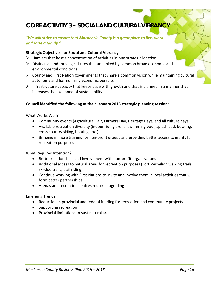# **CORE ACTIVITY 3 - SOCIAL AND CULTURAL VIBRANC**

#### *"We will strive to ensure that Mackenzie County is a great place to live, work and raise a family."*

#### **Strategic Objectives for Social and Cultural Vibrancy**

- $\triangleright$  Hamlets that host a concentration of activities in one strategic location
- $\triangleright$  Distinctive and thriving cultures that are linked by common broad economic and environmental conditions
- $\triangleright$  County and First Nation governments that share a common vision while maintaining cultural autonomy and harmonizing economic pursuits
- $\triangleright$  Infrastructure capacity that keeps pace with growth and that is planned in a manner that increases the likelihood of sustainability

#### **Council identified the following at their January 2016 strategic planning session:**

What Works Well?

- Community events (Agricultural Fair, Farmers Day, Heritage Days, and all culture days)
- Available recreation diversity (indoor riding arena, swimming pool, splash pad, bowling, cross country skiing, boating, etc.)
- Bringing in more training for non-profit groups and providing better access to grants for recreation purposes

What Requires Attention?

- Better relationships and involvement with non-profit organizations
- Additional access to natural areas for recreation purposes (Fort Vermilion walking trails, ski-doo trails, trail riding)
- Continue working with First Nations to invite and involve them in local activities that will form better partnerships
- Arenas and recreation centres require upgrading

Emerging Trends

- Reduction in provincial and federal funding for recreation and community projects
- Supporting recreation
- Provincial limitations to vast natural areas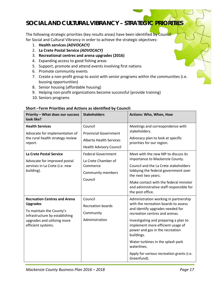## **SOCIAL AND CULTURAL VIBRANCY – STRATEGIC PRIORITIES**

The following strategic priorities (key results areas) have been identified by Council for Social and Cultural Vibrancy in order to achieve the strategic objectives:

- 1. **Health services** *(ADVOCACY)*
- 2. **La Crete Postal Service** *(ADVOCACY)*
- 3. **Recreational centres and arena upgrades (2016)**
- 4. Expanding access to good fishing areas
- 5. Support, promote and attend events involving first nations
- 6. Promote community events
- 7. Create a non-profit group to assist with senior programs within the communities (i.e. bussing opportunities)
- 8. Senior housing (affordable housing)
- 9. Helping non-profit organizations become successful (provide training)
- 10. Seniors programs

| Priority - What does our success<br>look like?                                                                                                                            | <b>Stakeholders</b>                                                                                         | <b>Actions: Who, When, How</b>                                                                                                                                                                                                                                                                                                                                                                     |
|---------------------------------------------------------------------------------------------------------------------------------------------------------------------------|-------------------------------------------------------------------------------------------------------------|----------------------------------------------------------------------------------------------------------------------------------------------------------------------------------------------------------------------------------------------------------------------------------------------------------------------------------------------------------------------------------------------------|
| <b>Health Services</b><br>Advocate for implementation of<br>the rural health strategy review<br>report.                                                                   | Council<br><b>Provincial Government</b><br><b>Alberta Health Services</b><br><b>Health Advisory Council</b> | Meetings and correspondence with<br>stakeholders.<br>Advocacy plan to look at specific<br>priorities for our region.                                                                                                                                                                                                                                                                               |
| <b>La Crete Postal Service</b><br>Advocate for improved postal<br>services in La Crete (i.e. new<br>building).                                                            | <b>Federal Government</b><br>La Crete Chamber of<br>Commerce<br>Community members<br>Council                | Meet with the new MP to discuss its<br>importance to Mackenzie County.<br>Council and the La Crete stakeholders<br>lobbying the federal government over<br>the next two years.<br>Make contact with the federal minister<br>and administrative staff responsible for<br>the post office.                                                                                                           |
| <b>Recreation Centres and Arena</b><br><b>Upgrades</b><br>To maintain the County's<br>infrastructure by establishing<br>upgrades and utilizing more<br>efficient systems. | Council<br><b>Recreation boards</b><br>Community<br>Administration                                          | Administration working in partnership<br>with the recreation boards to assess<br>and identify upgrades needed for<br>recreation centres and arenas.<br>Investigating and preparing a plan to<br>implement more efficient usage of<br>power and gas in the recreation<br>buildings.<br>Water turbines in the splash park<br>waterlines.<br>Apply for various recreation grants (i.e.<br>Greenfund). |

#### **Short –Term Priorities and Actions as identified by Council:**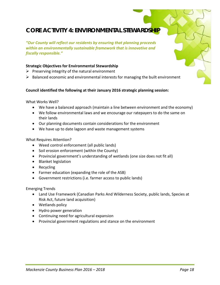### **CORE ACTIVITY 4: ENVIRONMENTAL STEWARDSHIP**

*"Our County will reflect our residents by ensuring that planning proceeds within an environmentally sustainable framework that is innovative and fiscally responsible."*

#### **Strategic Objectives for Environmental Stewardship**

- $\triangleright$  Preserving integrity of the natural environment
- $\triangleright$  Balanced economic and environmental interests for managing the built environment

#### **Council identified the following at their January 2016 strategic planning session:**

What Works Well?

- We have a balanced approach (maintain a line between environment and the economy)
- We follow environmental laws and we encourage our ratepayers to do the same on their lands
- Our planning documents contain considerations for the environment
- We have up to date lagoon and waste management systems

#### What Requires Attention?

- Weed control enforcement (all public lands)
- Soil erosion enforcement (within the County)
- Provincial government's understanding of wetlands (one size does not fit all)
- Blanket legislation
- Recycling
- Farmer education (expanding the role of the ASB)
- Government restrictions (i.e. farmer access to public lands)

Emerging Trends

- Land Use Framework (Canadian Parks And Wilderness Society, public lands, Species at Risk Act, future land acquisition)
- Wetlands policy
- Hydro power generation
- Continuing need for agricultural expansion
- Provincial government regulations and stance on the environment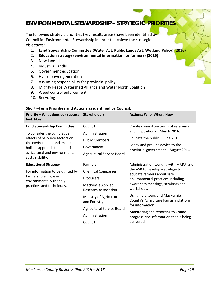### **ENVIRONMENTAL STEWARDSHIP – STRATEGIC PRIORITIES**

The following strategic priorities (key results areas) have been identified by Council for Environmental Stewardship in order to achieve the strategic objectives:

- 1. **Land Stewardship Committee (Water Act, Public Lands Act, Wetland Policy) (2016)**
- 2. **Education strategy (environmental information for farmers) (2016)**
- 3. New landfill
- 4. Industrial landfill
- 5. Government education
- 6. Hydro power generation
- 7. Assuming responsibility for provincial policy
- 8. Mighty Peace Watershed Alliance and Water North Coalition
- 9. Weed control enforcement
- 10. Recycling

#### **Short –Term Priorities and Actions as identified by Council:**

| Priority - What does our success<br>look like?                                                                                                                                                                             | <b>Stakeholders</b>                                                                                          | Actions: Who, When, How                                                                                                                                                                       |
|----------------------------------------------------------------------------------------------------------------------------------------------------------------------------------------------------------------------------|--------------------------------------------------------------------------------------------------------------|-----------------------------------------------------------------------------------------------------------------------------------------------------------------------------------------------|
| <b>Land Stewardship Committee</b><br>To consider the cumulative<br>effects of resource sectors on<br>the environment and ensure a<br>holistic approach to industrial,<br>agricultural and environmental<br>sustainability. | Council<br>Administration<br><b>Public Members</b><br>Government<br>Agricultural Service Board               | Create committee terms of reference<br>and fill positions - March 2016.<br>Educate the public $-$ June 2016.<br>Lobby and provide advice to the<br>provincial government - August 2016.       |
| <b>Educational Strategy</b><br>For information to be utilized by<br>farmers to engage in<br>environmentally friendly<br>practices and techniques.                                                                          | <b>Farmers</b><br><b>Chemical Companies</b><br>Producers<br>Mackenzie Applied<br><b>Research Association</b> | Administration working with MARA and<br>the ASB to develop a strategy to<br>educate farmers about safe<br>environmental practices including<br>awareness meetings, seminars and<br>workshops. |
|                                                                                                                                                                                                                            | Ministry of Agriculture<br>and Forestry<br>Agricultural Service Board<br>Administration<br>Council           | Using field tours and Mackenzie<br>County's Agriculture Fair as a platform<br>for information.<br>Monitoring and reporting to Council<br>progress and information that is being<br>delivered. |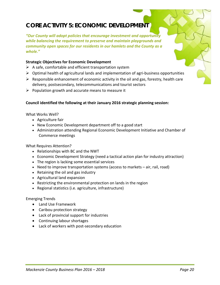# **CORE ACTIVITY 5: ECONOMIC DEVELOPMENT**

*"Our County will adopt policies that encourage investment and opportunity while balancing the requirement to preserve and maintain playgrounds and community open spaces for our residents in our hamlets and the County as a whole."*

#### **Strategic Objectives for Economic Development**

- $\triangleright$  A safe, comfortable and efficient transportation system
- $\triangleright$  Optimal health of agricultural lands and implementation of agri-business opportunities
- $\triangleright$  Responsible enhancement of economic activity in the oil and gas, forestry, health care delivery, postsecondary, telecommunications and tourist sectors
- $\triangleright$  Population growth and accurate means to measure it

#### **Council identified the following at their January 2016 strategic planning session:**

What Works Well?

- Agriculture fair
- New Economic Development department off to a good start
- Administration attending Regional Economic Development Initiative and Chamber of Commerce meetings

#### What Requires Attention?

- Relationships with BC and the NWT
- Economic Development Strategy (need a tactical action plan for industry attraction)
- The region is lacking some essential services
- Need to improve transportation systems (access to markets air, rail, road)
- Retaining the oil and gas industry
- Agricultural land expansion
- Restricting the environmental protection on lands in the region
- Regional statistics (i.e. agriculture, infrastructure)

#### Emerging Trends

- Land Use Framework
- Caribou protection strategy
- Lack of provincial support for industries
- Continuing labour shortages
- Lack of workers with post-secondary education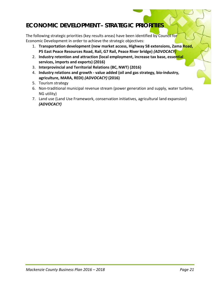# **ECONOMIC DEVELOPMENT – STRATEGIC PRIORITIES**

The following strategic priorities (key results areas) have been identified by Council for Economic Development in order to achieve the strategic objectives:

- 1. **Transportation development (new market access, Highway 58 extensions, Zama Road, P5 East Peace Resources Road, Rail, G7 Rail, Peace River bridge)** *(ADVOCACY)*
- 2. **Industry retention and attraction (local employment, increase tax base, essential services, imports and exports) (2016)**
- 3. **Interprovincial and Territorial Relations (BC, NWT) (2016)**
- 4. **Industry relations and growth - value added (oil and gas strategy, bio-industry, agriculture, MARA, REDI)** *(ADVOCACY)* **(2016)**
- 5. Tourism strategy
- 6. Non-traditional municipal revenue stream (power generation and supply, water turbine, NG utility)
- 7. Land use (Land Use Framework, conservation initiatives, agricultural land expansion) *(ADVOCACY)*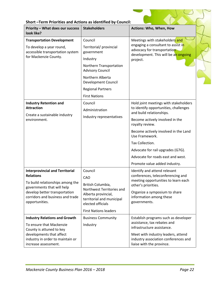|  | Short-Term Priorities and Actions as identified by Council: |
|--|-------------------------------------------------------------|
|--|-------------------------------------------------------------|

| <b>Priority - What does our success</b><br>look like?                                                                                                                                                                                                                                                                                                                                                       | <b>Stakeholders</b>                                                                                                                                                                                                      | <b>Actions: Who, When, How</b>                                                                                                                                                                                                                                                                                                                                                                                              |  |
|-------------------------------------------------------------------------------------------------------------------------------------------------------------------------------------------------------------------------------------------------------------------------------------------------------------------------------------------------------------------------------------------------------------|--------------------------------------------------------------------------------------------------------------------------------------------------------------------------------------------------------------------------|-----------------------------------------------------------------------------------------------------------------------------------------------------------------------------------------------------------------------------------------------------------------------------------------------------------------------------------------------------------------------------------------------------------------------------|--|
| <b>Transportation Development</b><br>To develop a year round,<br>accessible transportation system<br>for Mackenzie County.                                                                                                                                                                                                                                                                                  | Council<br>Territorial/ provincial<br>government<br>Industry<br>Northern Transportation<br><b>Advisory Council</b><br>Northern Alberta<br><b>Development Council</b><br><b>Regional Partners</b><br><b>First Nations</b> | Meetings with stakeholders and<br>engaging a consultant to assist in<br>advocacy for transportation<br>development. This will be an ongoing<br>project.                                                                                                                                                                                                                                                                     |  |
| <b>Industry Retention and</b><br><b>Attraction</b><br>Create a sustainable industry<br>environment.                                                                                                                                                                                                                                                                                                         | Council<br>Administration<br>Industry representatives                                                                                                                                                                    | Hold joint meetings with stakeholders<br>to identify opportunities, challenges<br>and build relationships.<br>Become actively involved in the<br>royalty review.<br>Become actively involved in the Land<br>Use Framework.<br>Tax Collection.<br>Advocate for rail upgrades (G7G).<br>Advocate for roads east and west.<br>Promote value added industry.                                                                    |  |
| <b>Interprovincial and Territorial</b><br><b>Relations</b><br>To build relationships among the<br>governments that will help<br>develop better transportation<br>corridors and business and trade<br>opportunities.<br><b>Industry Relations and Growth</b><br>To ensure that Mackenzie<br>County is attuned to key<br>developments that affect<br>industry in order to maintain or<br>increase assessment. | Council<br>CAO<br>British Columbia,<br>Northwest Territories and<br>Alberta provincial,<br>territorial and municipal<br>elected officials<br><b>First Nations leaders</b><br><b>Business Community</b><br>Industry       | Identify and attend relevant<br>conferences, teleconferencing and<br>meeting opportunities to learn each<br>other's priorities.<br>Organize a symposium to share<br>information among these<br>governments.<br>Establish programs such as developer<br>assistance, tax rebates and<br>infrastructure assistance.<br>Meet with industry leaders, attend<br>industry association conferences and<br>liaise with the province. |  |